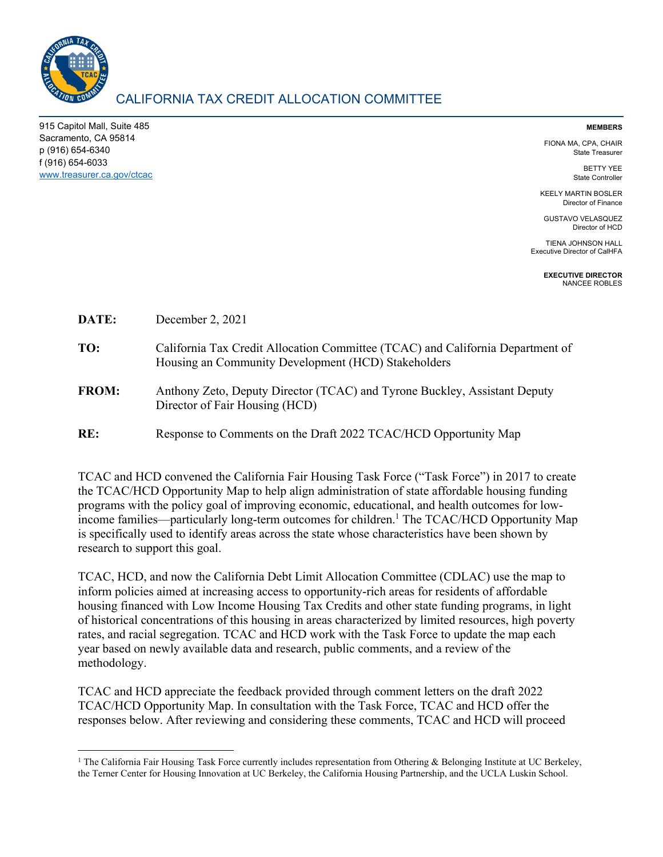

915 Capitol Mall, Suite 485 Sacramento, CA 95814 p (916) 654-6340 f (916) 654-6033 www.treasurer.ca.gov/ctcac

## **MEMBERS**

FIONA MA, CPA, CHAIR State Treasurer

> BETTY YEE State Controller

KEELY MARTIN BOSLER Director of Finance

GUSTAVO VELASQUEZ Director of HCD

TIENA JOHNSON HALL Executive Director of CalHFA

> **EXECUTIVE DIRECTOR**  NANCEE ROBLES

| DATE: | December 2, 2021 |
|-------|------------------|
|-------|------------------|

- **TO:** California Tax Credit Allocation Committee (TCAC) and California Department of Housing an Community Development (HCD) Stakeholders
- **FROM:** Anthony Zeto, Deputy Director (TCAC) and Tyrone Buckley, Assistant Deputy Director of Fair Housing (HCD)

**RE:** Response to Comments on the Draft 2022 TCAC/HCD Opportunity Map

TCAC and HCD convened the California Fair Housing Task Force ("Task Force") in 2017 to create the TCAC/HCD Opportunity Map to help align administration of state affordable housing funding programs with the policy goal of improving economic, educational, and health outcomes for lowincome families—particularly long-term outcomes for children.<sup>1</sup> The TCAC/HCD Opportunity Map is specifically used to identify areas across the state whose characteristics have been shown by research to support this goal.

TCAC, HCD, and now the California Debt Limit Allocation Committee (CDLAC) use the map to inform policies aimed at increasing access to opportunity-rich areas for residents of affordable housing financed with Low Income Housing Tax Credits and other state funding programs, in light of historical concentrations of this housing in areas characterized by limited resources, high poverty rates, and racial segregation. TCAC and HCD work with the Task Force to update the map each year based on newly available data and research, public comments, and a review of the methodology.

TCAC and HCD appreciate the feedback provided through comment letters on the draft 2022 TCAC/HCD Opportunity Map. In consultation with the Task Force, TCAC and HCD offer the responses below. After reviewing and considering these comments, TCAC and HCD will proceed

 <sup>1</sup> The California Fair Housing Task Force currently includes representation from Othering & Belonging Institute at UC Berkeley, the Terner Center for Housing Innovation at UC Berkeley, the California Housing Partnership, and the UCLA Luskin School.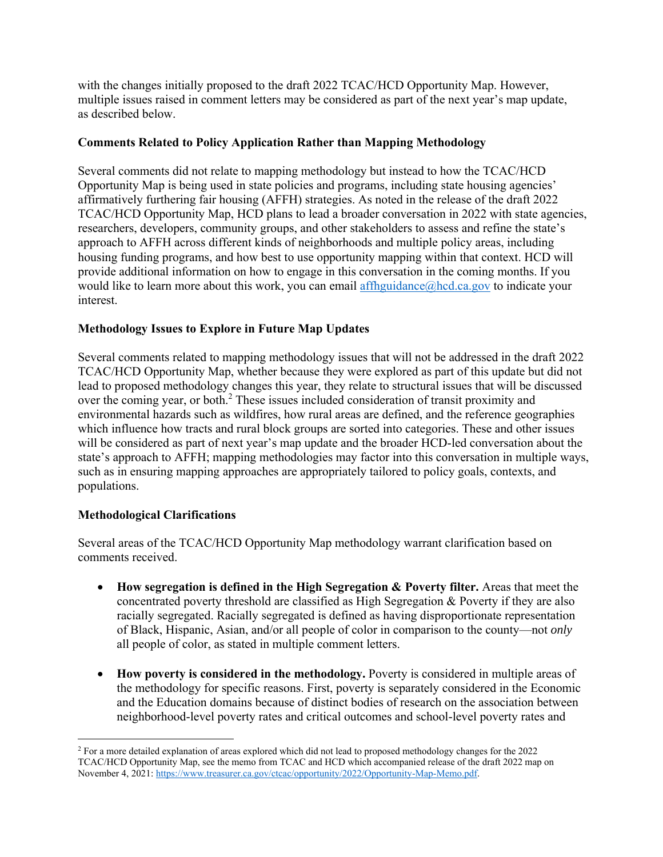with the changes initially proposed to the draft 2022 TCAC/HCD Opportunity Map. However, multiple issues raised in comment letters may be considered as part of the next year's map update, as described below.

## **Comments Related to Policy Application Rather than Mapping Methodology**

Several comments did not relate to mapping methodology but instead to how the TCAC/HCD Opportunity Map is being used in state policies and programs, including state housing agencies' affirmatively furthering fair housing (AFFH) strategies. As noted in the release of the draft 2022 TCAC/HCD Opportunity Map, HCD plans to lead a broader conversation in 2022 with state agencies, researchers, developers, community groups, and other stakeholders to assess and refine the state's approach to AFFH across different kinds of neighborhoods and multiple policy areas, including housing funding programs, and how best to use opportunity mapping within that context. HCD will provide additional information on how to engage in this conversation in the coming months. If you would like to learn more about this work, you can email affhguidance@hcd.ca.gov to indicate your interest.

## **Methodology Issues to Explore in Future Map Updates**

Several comments related to mapping methodology issues that will not be addressed in the draft 2022 TCAC/HCD Opportunity Map, whether because they were explored as part of this update but did not lead to proposed methodology changes this year, they relate to structural issues that will be discussed over the coming year, or both.<sup>2</sup> These issues included consideration of transit proximity and environmental hazards such as wildfires, how rural areas are defined, and the reference geographies which influence how tracts and rural block groups are sorted into categories. These and other issues will be considered as part of next year's map update and the broader HCD-led conversation about the state's approach to AFFH; mapping methodologies may factor into this conversation in multiple ways, such as in ensuring mapping approaches are appropriately tailored to policy goals, contexts, and populations.

## **Methodological Clarifications**

Several areas of the TCAC/HCD Opportunity Map methodology warrant clarification based on comments received.

- **How segregation is defined in the High Segregation & Poverty filter.** Areas that meet the concentrated poverty threshold are classified as High Segregation & Poverty if they are also racially segregated. Racially segregated is defined as having disproportionate representation of Black, Hispanic, Asian, and/or all people of color in comparison to the county—not *only* all people of color, as stated in multiple comment letters.
- **How poverty is considered in the methodology.** Poverty is considered in multiple areas of the methodology for specific reasons. First, poverty is separately considered in the Economic and the Education domains because of distinct bodies of research on the association between neighborhood-level poverty rates and critical outcomes and school-level poverty rates and

<sup>&</sup>lt;sup>2</sup> For a more detailed explanation of areas explored which did not lead to proposed methodology changes for the 2022 TCAC/HCD Opportunity Map, see the memo from TCAC and HCD which accompanied release of the draft 2022 map on November 4, 2021: https://www.treasurer.ca.gov/ctcac/opportunity/2022/Opportunity-Map-Memo.pdf.